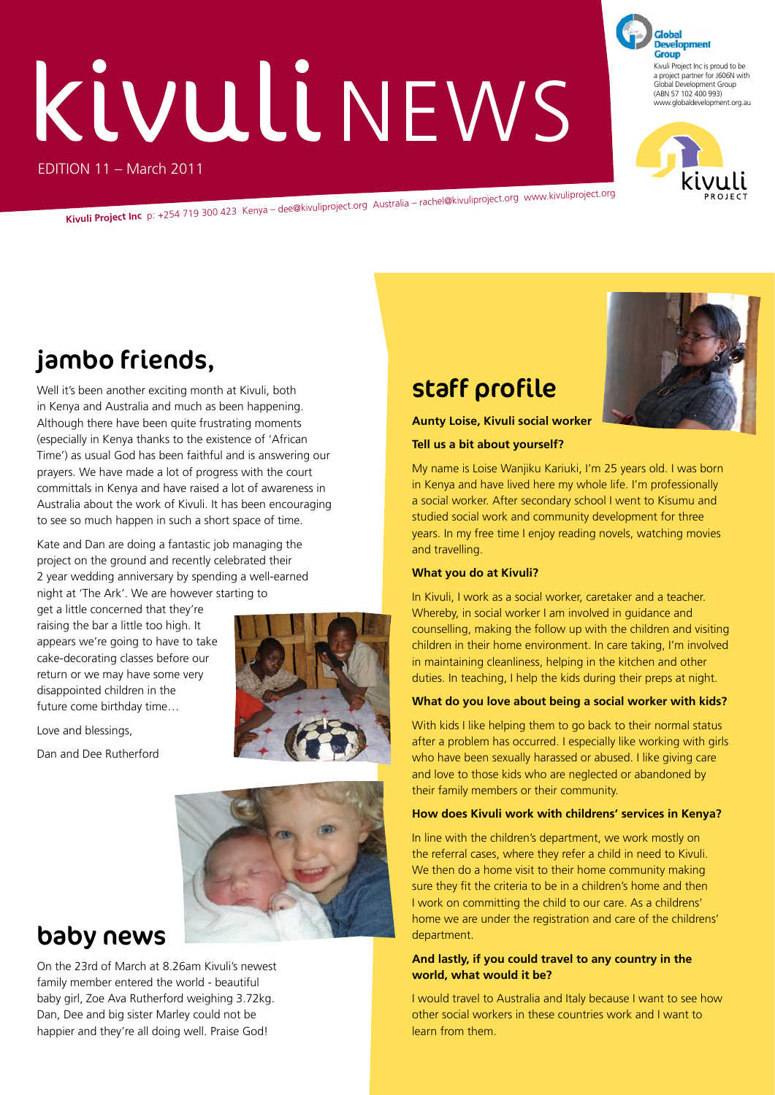# Kivuli NEWS

EDITION 11 – March 2011

**Kivuli Project Inc** p: +254 719 300 423 Kenya – dee@kivuliproject.org Australia – rachel@kivuliproject.org www.kivuliproject.org

# jambo friends,

Well it's been another exciting month at Kivuli, both in Kenya and Australia and much as been happening. Although there have been quite frustrating moments (especially in Kenya thanks to the existence of 'African Time') as usual God has been faithful and is answering our prayers. We have made a lot of progress with the court committals in Kenya and have raised a lot of awareness in Australia about the work of Kivuli. It has been encouraging to see so much happen in such a short space of time.

Kate and Dan are doing a fantastic job managing the project on the ground and recently celebrated their 2 year wedding anniversary by spending a well-earned night at 'The Ark'. We are however starting to

get a little concerned that they're raising the bar a little too high. It appears we're going to have to take cake-decorating classes before our return or we may have some very disappointed children in the future come birthday time…





Dan and Dee Rutherford



# baby news

On the 23rd of March at 8.26am Kivuli's newest family member entered the world - beautiful baby girl, Zoe Ava Rutherford weighing 3.72kg. Dan, Dee and big sister Marley could not be happier and they're all doing well. Praise God!

# staff profile



**Aunty Loise, Kivuli social worker**

## **Tell us a bit about yourself?**

My name is Loise Wanjiku Kariuki, I'm 25 years old. I was born in Kenya and have lived here my whole life. I'm professionally a social worker. After secondary school I went to Kisumu and studied social work and community development for three years. In my free time I enjoy reading novels, watching movies and travelling.

## **What you do at Kivuli?**

In Kivuli, I work as a social worker, caretaker and a teacher. Whereby, in social worker I am involved in guidance and counselling, making the follow up with the children and visiting children in their home environment. In care taking, I'm involved in maintaining cleanliness, helping in the kitchen and other duties. In teaching, I help the kids during their preps at night.

### **What do you love about being a social worker with kids?**

With kids I like helping them to go back to their normal status after a problem has occurred. I especially like working with girls who have been sexually harassed or abused. I like giving care and love to those kids who are neglected or abandoned by their family members or their community.

## **How does Kivuli work with childrens' services in Kenya?**

In line with the children's department, we work mostly on the referral cases, where they refer a child in need to Kivuli. We then do a home visit to their home community making sure they fit the criteria to be in a children's home and then I work on committing the child to our care. As a childrens' home we are under the registration and care of the childrens' department.

#### **And lastly, if you could travel to any country in the world, what would it be?**

I would travel to Australia and Italy because I want to see how other social workers in these countries work and I want to learn from them.

Global **Development Group** Kivuli Project Inc is proud to be a project partner for J606N with Global Development Group (ABN 57 102 400 993) ww.globaldevelopment.org.au

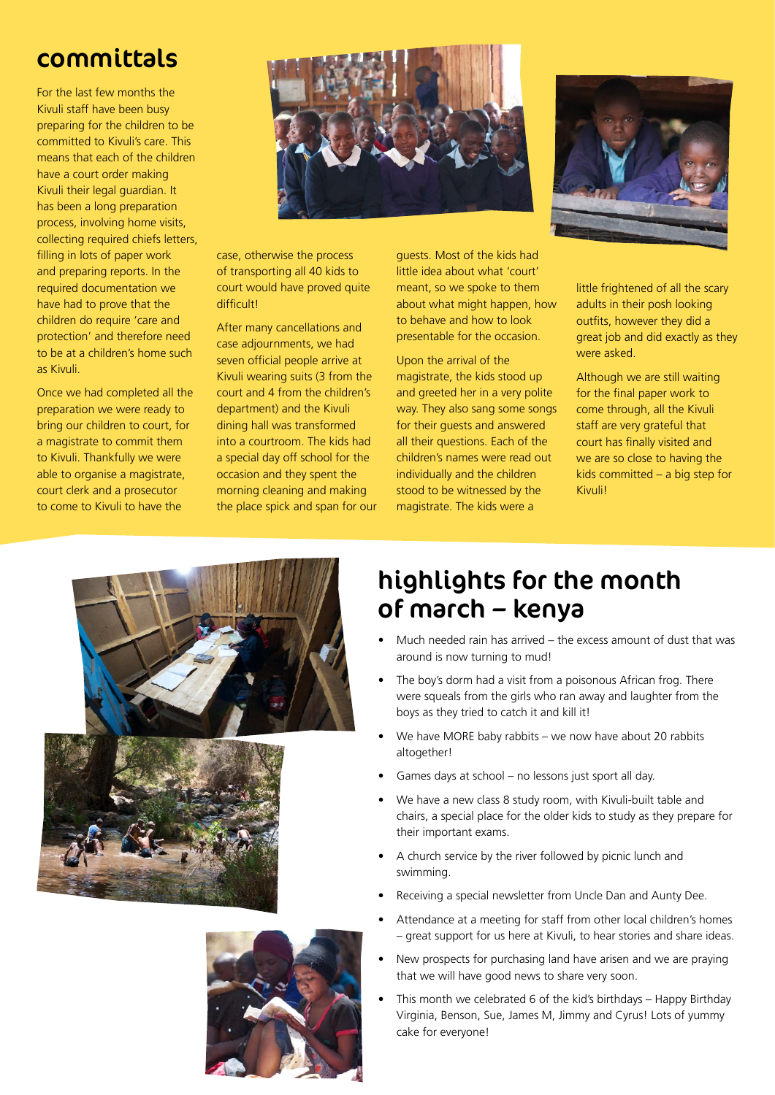## committals

For the last few months the Kivuli staff have been busy preparing for the children to be committed to Kivuli's care. This means that each of the children have a court order making Kivuli their legal guardian. It has been a long preparation process, involving home visits, collecting required chiefs letters, filling in lots of paper work and preparing reports. In the required documentation we have had to prove that the children do require 'care and protection' and therefore need to be at a children's home such as Kivuli.

Once we had completed all the preparation we were ready to bring our children to court, for a magistrate to commit them to Kivuli. Thankfully we were able to organise a magistrate, court clerk and a prosecutor to come to Kivuli to have the



case, otherwise the process of transporting all 40 kids to court would have proved quite difficult!

After many cancellations and case adjournments, we had seven official people arrive at Kivuli wearing suits (3 from the court and 4 from the children's department) and the Kivuli dining hall was transformed into a courtroom. The kids had a special day off school for the occasion and they spent the morning cleaning and making the place spick and span for our

guests. Most of the kids had little idea about what 'court' meant, so we spoke to them about what might happen, how to behave and how to look presentable for the occasion.

Upon the arrival of the magistrate, the kids stood up and greeted her in a very polite way. They also sang some songs for their guests and answered all their questions. Each of the children's names were read out individually and the children stood to be witnessed by the magistrate. The kids were a



little frightened of all the scary adults in their posh looking outfits, however they did a great job and did exactly as they were asked.

Although we are still waiting for the final paper work to come through, all the Kivuli staff are very grateful that court has finally visited and we are so close to having the kids committed – a big step for Kivuli!







## highlights for the month of march – kenya

- Much needed rain has arrived the excess amount of dust that was around is now turning to mud!
- The boy's dorm had a visit from a poisonous African frog. There were squeals from the girls who ran away and laughter from the boys as they tried to catch it and kill it!
- We have MORE baby rabbits we now have about 20 rabbits altogether!
- Games days at school no lessons just sport all day.
- We have a new class 8 study room, with Kivuli-built table and chairs, a special place for the older kids to study as they prepare for their important exams.
- A church service by the river followed by picnic lunch and swimming.
- Receiving a special newsletter from Uncle Dan and Aunty Dee.
- Attendance at a meeting for staff from other local children's homes – great support for us here at Kivuli, to hear stories and share ideas.
- New prospects for purchasing land have arisen and we are praying that we will have good news to share very soon.
- This month we celebrated 6 of the kid's birthdays Happy Birthday Virginia, Benson, Sue, James M, Jimmy and Cyrus! Lots of yummy cake for everyone!